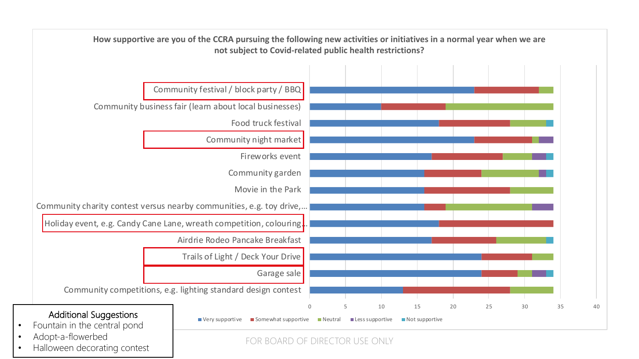